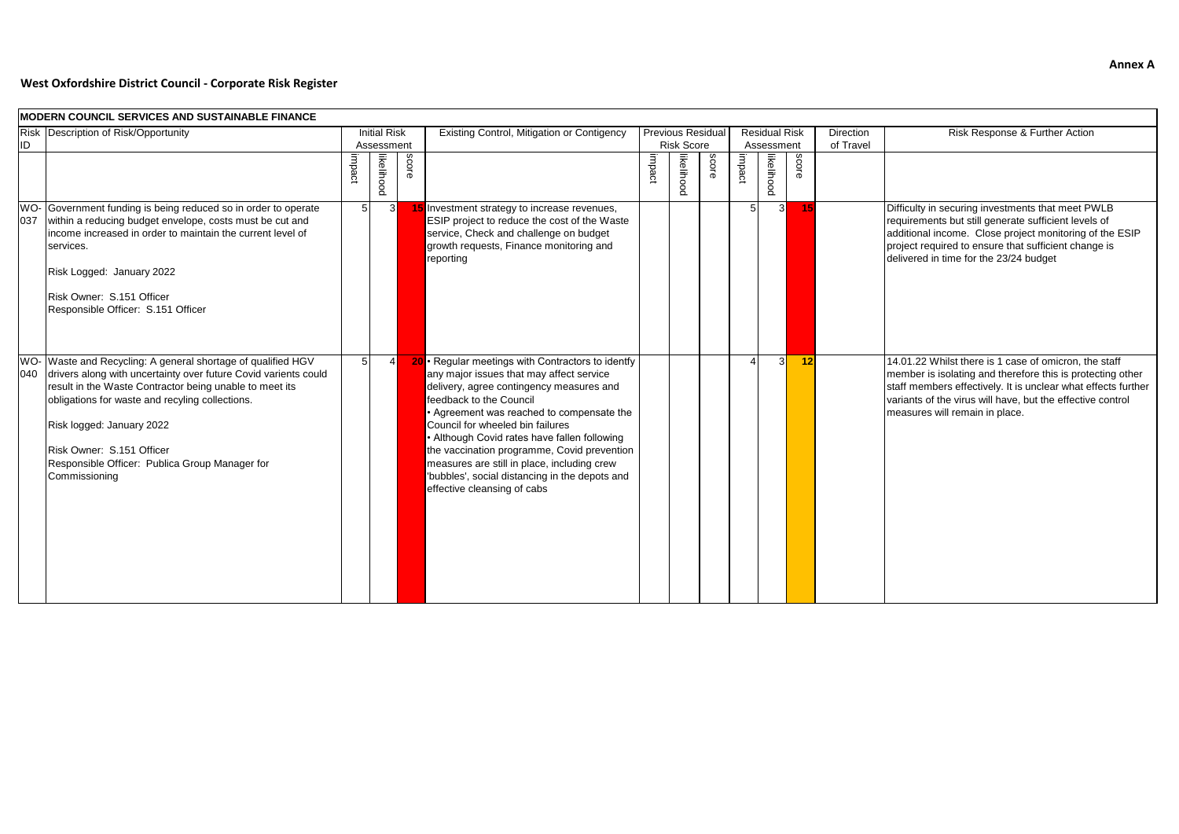## Risk Response & Further Action

# **West Oxfordshire District Council - Corporate Risk Register**

Difficulty in securing investments that meet PWLB requirements but still generate sufficient levels of additional income. Close project monitoring of the ESIP project required to ensure that sufficient change is delivered in time for the 23/24 budget

|            | <b>MODERN COUNCIL SERVICES AND SUSTAINABLE FINANCE</b>                                                                                                                                                                                                                                                                                                                 |                |                                   |              |                                                                                                                                                                                                                                                                                                                                                                                                                                                                                      |        |                                               |              |        |                                    |              |                               |
|------------|------------------------------------------------------------------------------------------------------------------------------------------------------------------------------------------------------------------------------------------------------------------------------------------------------------------------------------------------------------------------|----------------|-----------------------------------|--------------|--------------------------------------------------------------------------------------------------------------------------------------------------------------------------------------------------------------------------------------------------------------------------------------------------------------------------------------------------------------------------------------------------------------------------------------------------------------------------------------|--------|-----------------------------------------------|--------------|--------|------------------------------------|--------------|-------------------------------|
| ID         | Risk Description of Risk/Opportunity                                                                                                                                                                                                                                                                                                                                   |                | <b>Initial Risk</b><br>Assessment |              | Existing Control, Mitigation or Contigency                                                                                                                                                                                                                                                                                                                                                                                                                                           |        | <b>Previous Residual</b><br><b>Risk Score</b> |              |        | <b>Residual Risk</b><br>Assessment |              | <b>Direction</b><br>of Travel |
|            |                                                                                                                                                                                                                                                                                                                                                                        | impact         | likelihood                        | <b>SCOLE</b> |                                                                                                                                                                                                                                                                                                                                                                                                                                                                                      | impact | likelihood                                    | <b>SCOLE</b> | impact | likelihood                         | <b>score</b> |                               |
| WO-<br>037 | Government funding is being reduced so in order to operate<br>within a reducing budget envelope, costs must be cut and<br>income increased in order to maintain the current level of<br>services.<br>Risk Logged: January 2022<br>Risk Owner: S.151 Officer<br>Responsible Officer: S.151 Officer                                                                      | 5              | $\mathbf{3}$                      |              | 15 Investment strategy to increase revenues,<br>ESIP project to reduce the cost of the Waste<br>service, Check and challenge on budget<br>growth requests, Finance monitoring and<br>reporting                                                                                                                                                                                                                                                                                       |        |                                               |              | 5      | $\mathbf{3}$                       | 15           |                               |
| WO-<br>040 | Waste and Recycling: A general shortage of qualified HGV<br>drivers along with uncertainty over future Covid varients could<br>result in the Waste Contractor being unable to meet its<br>obligations for waste and recyling collections.<br>Risk logged: January 2022<br>Risk Owner: S.151 Officer<br>Responsible Officer: Publica Group Manager for<br>Commissioning | 5 <sub>l</sub> | 4                                 |              | 20 · Regular meetings with Contractors to identfy<br>any major issues that may affect service<br>delivery, agree contingency measures and<br>feedback to the Council<br>• Agreement was reached to compensate the<br>Council for wheeled bin failures<br>• Although Covid rates have fallen following<br>the vaccination programme, Covid prevention<br>measures are still in place, including crew<br>'bubbles', social distancing in the depots and<br>effective cleansing of cabs |        |                                               |              | Δ      | 3 <sup>l</sup>                     | 12           |                               |

4 3 **12** 14.01.22 Whilst there is 1 case of omicron, the staff member is isolating and therefore this is protecting other staff members effectively. It is unclear what effects further variants of the virus will have, but the effective control measures will remain in place.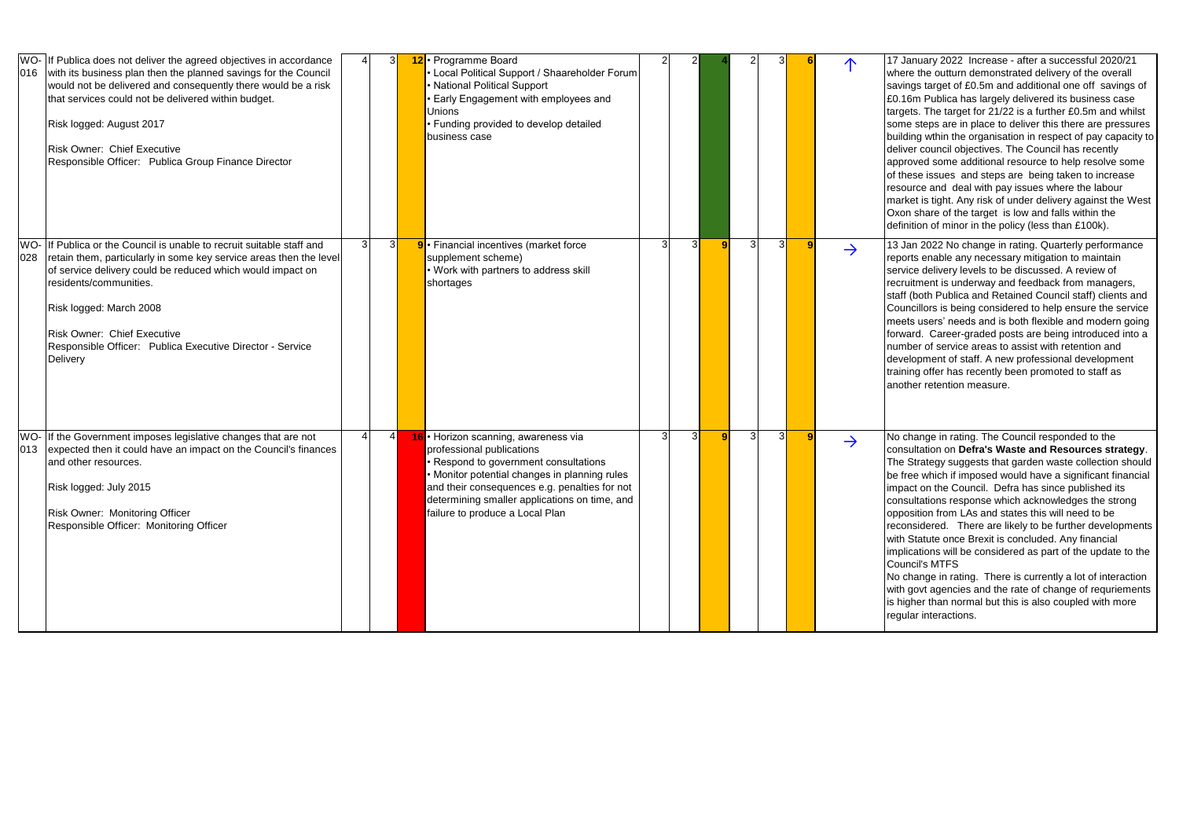<sup>2</sup> <sup>2</sup> **<sup>4</sup>** <sup>2</sup> <sup>3</sup> **<sup>6</sup>** ↑ 17 January 2022 Increase - after a successful 2020/21 where the outturn demonstrated delivery of the overall savings target of £0.5m and additional one off savings of £0.16m Publica has largely delivered its business case targets. The target for 21/22 is a further £0.5m and whilst some steps are in place to deliver this there are pressures building wthin the organisation in respect of pay capacity to deliver council objectives. The Council has recently approved some additional resource to help resolve some of these issues and steps are being taken to increase resource and deal with pay issues where the labour market is tight. Any risk of under delivery against the West Oxon share of the target is low and falls within the definition of minor in the policy (less than £100k).

13 Jan 2022 No change in rating. Quarterly performance reports enable any necessary mitigation to maintain service delivery levels to be discussed. A review of recruitment is underway and feedback from managers, staff (both Publica and Retained Council staff) clients and Councillors is being considered to help ensure the service meets users' needs and is both flexible and modern going forward. Career-graded posts are being introduced into a number of service areas to assist with retention and development of staff. A new professional development raining offer has recently been promoted to staff as another retention measure.

| 016        | WO- If Publica does not deliver the agreed objectives in accordance<br>with its business plan then the planned savings for the Council<br>would not be delivered and consequently there would be a risk<br>that services could not be delivered within budget.<br>Risk logged: August 2017<br><b>Risk Owner: Chief Executive</b><br>Responsible Officer: Publica Group Finance Director |              |                | 3I | 12 · Programme Board<br>• Local Political Support / Shaareholder Forum<br>• National Political Support<br>• Early Engagement with employees and<br>Unions<br>• Funding provided to develop detailed<br>business case                                                                             |   |                |   |   |                |               |
|------------|-----------------------------------------------------------------------------------------------------------------------------------------------------------------------------------------------------------------------------------------------------------------------------------------------------------------------------------------------------------------------------------------|--------------|----------------|----|--------------------------------------------------------------------------------------------------------------------------------------------------------------------------------------------------------------------------------------------------------------------------------------------------|---|----------------|---|---|----------------|---------------|
| WO-<br>028 | If Publica or the Council is unable to recruit suitable staff and<br>retain them, particularly in some key service areas then the level<br>of service delivery could be reduced which would impact on<br>residents/communities.<br>Risk logged: March 2008<br><b>Risk Owner: Chief Executive</b><br>Responsible Officer: Publica Executive Director - Service<br>Delivery               | $\mathbf{3}$ | 3 <sup>l</sup> |    | 9 · Financial incentives (market force<br>supplement scheme)<br>• Work with partners to address skill<br>shortages                                                                                                                                                                               | 3 | 3I             | 9 | 3 | 3 <sup>1</sup> | $\rightarrow$ |
| 013        | WO- If the Government imposes legislative changes that are not<br>expected then it could have an impact on the Council's finances<br>and other resources.<br>Risk logged: July 2015<br>Risk Owner: Monitoring Officer<br>Responsible Officer: Monitoring Officer                                                                                                                        |              | $\overline{4}$ |    | 16 · Horizon scanning, awareness via<br>professional publications<br>• Respond to government consultations<br>• Monitor potential changes in planning rules<br>and their consequences e.g. penalties for not<br>determining smaller applications on time, and<br>failure to produce a Local Plan | 3 | $\overline{3}$ | 9 | 3 | 3              | $\rightarrow$ |

No change in rating. The Council responded to the consultation on **Defra's Waste and Resources strategy**. The Strategy suggests that garden waste collection should be free which if imposed would have a significant financial mpact on the Council. Defra has since published its consultations response which acknowledges the strong opposition from LAs and states this will need to be reconsidered. There are likely to be further developments with Statute once Brexit is concluded. Any financial implications will be considered as part of the update to the Council's MTFS

No change in rating. There is currently a lot of interaction with govt agencies and the rate of change of requriements is higher than normal but this is also coupled with more regular interactions.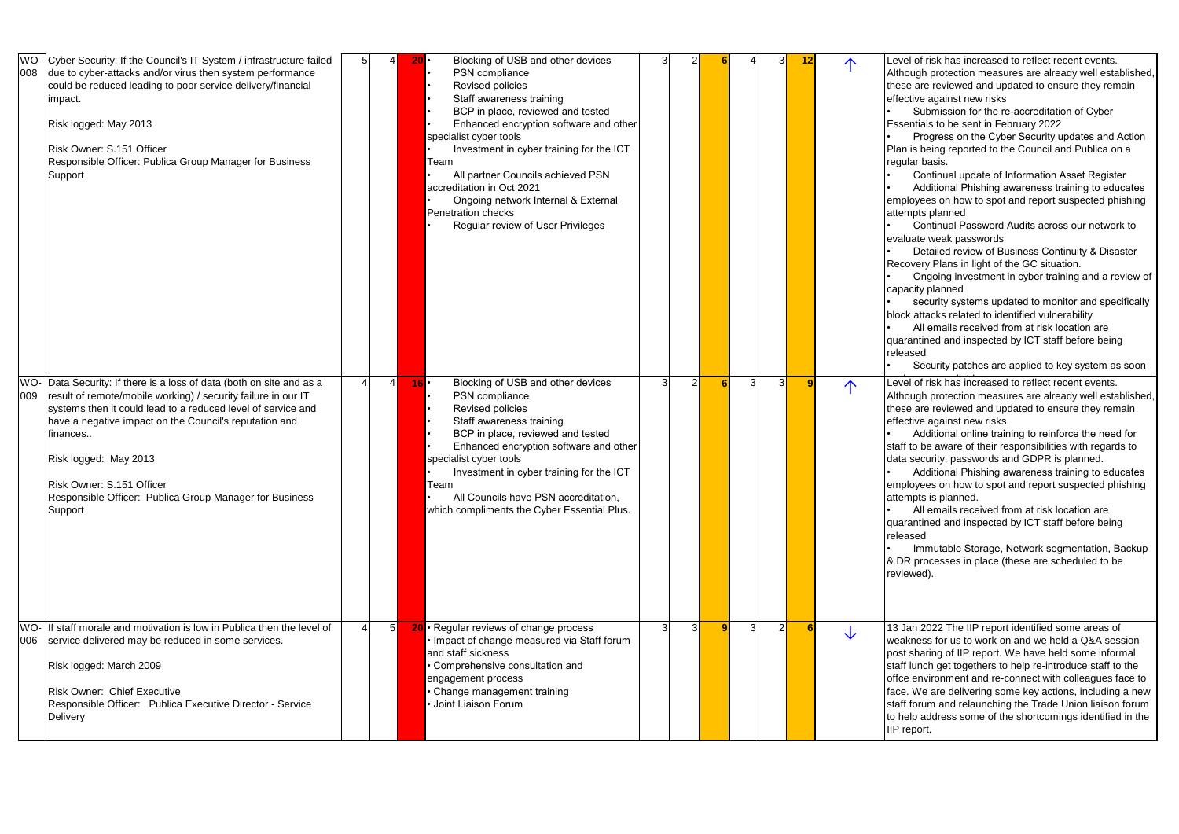Level of risk has increased to reflect recent events. Although protection measures are already well established, these are reviewed and updated to ensure they remain effective against new risks

Submission for the re-accreditation of Cyber Essentials to be sent in February 2022

• Detailed review of Business Continuity & Disaster Recovery Plans in light of the GC situation.

security systems updated to monitor and specifically block attacks related to identified vulnerability

• Progress on the Cyber Security updates and Action Plan is being reported to the Council and Publica on a regular basis.

• Continual update of Information Asset Register

• Additional Phishing awareness training to educates employees on how to spot and report suspected phishing attempts planned

• Continual Password Audits across our network to evaluate weak passwords

Level of risk has increased to reflect recent events. Although protection measures are already well established, these are reviewed and updated to ensure they remain effective against new risks.

• Ongoing investment in cyber training and a review of capacity planned

All emails received from at risk location are quarantined and inspected by ICT staff before being released

• All emails received from at risk location are quarantined and inspected by ICT staff before being released

Security patches are applied to key system as soon

| 008        | WO- Cyber Security: If the Council's IT System / infrastructure failed<br>due to cyber-attacks and/or virus then system performance<br>could be reduced leading to poor service delivery/financial<br>impact.<br>Risk logged: May 2013<br>Risk Owner: S.151 Officer<br>Responsible Officer: Publica Group Manager for Business<br>Support                                                           |  | $20\cdot$      | Blocking of USB and other devices<br>PSN compliance<br>Revised policies<br>Staff awareness training<br>BCP in place, reviewed and tested<br>Enhanced encryption software and other<br>specialist cyber tools<br>Investment in cyber training for the ICT<br>Team<br>All partner Councils achieved PSN<br>accreditation in Oct 2021<br>Ongoing network Internal & External<br><b>Penetration checks</b><br>Regular review of User Privileges |   |   |   | 31             | <u> 12</u> |   | Level of risk has incr<br>Although protection<br>these are reviewed a<br>effective against nev<br>Submission for<br>Essentials to be sen<br>Progress on th<br>Plan is being reporte<br>regular basis.<br>Continual upda<br><b>Additional Phis</b><br>employees on how to<br>attempts planned<br><b>Continual Pass</b><br>evaluate weak passy<br>Detailed reviev<br>Recovery Plans in lig<br>Ongoing inves<br>capacity planned<br>security systen<br>block attacks related<br>All emails rece<br>quarantined and insp<br>released<br>Security patch |
|------------|-----------------------------------------------------------------------------------------------------------------------------------------------------------------------------------------------------------------------------------------------------------------------------------------------------------------------------------------------------------------------------------------------------|--|----------------|---------------------------------------------------------------------------------------------------------------------------------------------------------------------------------------------------------------------------------------------------------------------------------------------------------------------------------------------------------------------------------------------------------------------------------------------|---|---|---|----------------|------------|---|----------------------------------------------------------------------------------------------------------------------------------------------------------------------------------------------------------------------------------------------------------------------------------------------------------------------------------------------------------------------------------------------------------------------------------------------------------------------------------------------------------------------------------------------------|
| WO-<br>009 | Data Security: If there is a loss of data (both on site and as a<br>result of remote/mobile working) / security failure in our IT<br>systems then it could lead to a reduced level of service and<br>have a negative impact on the Council's reputation and<br>finances<br>Risk logged: May 2013<br>Risk Owner: S.151 Officer<br>Responsible Officer: Publica Group Manager for Business<br>Support |  | $16$ $\cdot$   | Blocking of USB and other devices<br>PSN compliance<br>Revised policies<br>Staff awareness training<br>BCP in place, reviewed and tested<br>Enhanced encryption software and other<br>specialist cyber tools<br>Investment in cyber training for the ICT<br>Team<br>All Councils have PSN accreditation,<br>which compliments the Cyber Essential Plus.                                                                                     |   | 2 | 3 | 3              | 9          | 个 | Level of risk has incr<br>Although protection<br>these are reviewed a<br>effective against nev<br><b>Additional onlin</b><br>staff to be aware of t<br>data security, passw<br><b>Additional Phis</b><br>employees on how to<br>attempts is planned.<br>All emails rece<br>quarantined and insp<br>released<br>Immutable Sto<br>& DR processes in p<br>reviewed).                                                                                                                                                                                  |
| WO-<br>006 | If staff morale and motivation is low in Publica then the level of<br>service delivered may be reduced in some services.<br>Risk logged: March 2009<br><b>Risk Owner: Chief Executive</b><br>Responsible Officer: Publica Executive Director - Service<br>Delivery                                                                                                                                  |  | 5 <sup>1</sup> | 20 • Regular reviews of change process<br>. Impact of change measured via Staff forum<br>and staff sickness<br>• Comprehensive consultation and<br>engagement process<br>• Change management training<br>Joint Liaison Forum                                                                                                                                                                                                                | 3 | 3 | 3 | $\overline{2}$ | -6         | 业 | 13 Jan 2022 The IIP<br>weakness for us to v<br>post sharing of IIP re<br>staff lunch get togeth<br>offce environment a<br>face. We are deliver<br>staff forum and relau<br>to help address som<br>IIP report.                                                                                                                                                                                                                                                                                                                                      |

13 Jan 2022 The IIP report identified some areas of weakness for us to work on and we held a Q&A session post sharing of IIP report. We have held some informal staff lunch get togethers to help re-introduce staff to the offce environment and re-connect with colleagues face to face. We are delivering some key actions, including a new staff forum and relaunching the Trade Union liaison forum to help address some of the shortcomings identified in the IIP report.

• Additional online training to reinforce the need for staff to be aware of their responsibilities with regards to data security, passwords and GDPR is planned.

• Additional Phishing awareness training to educates employees on how to spot and report suspected phishing attempts is planned.

• Immutable Storage, Network segmentation, Backup & DR processes in place (these are scheduled to be reviewed).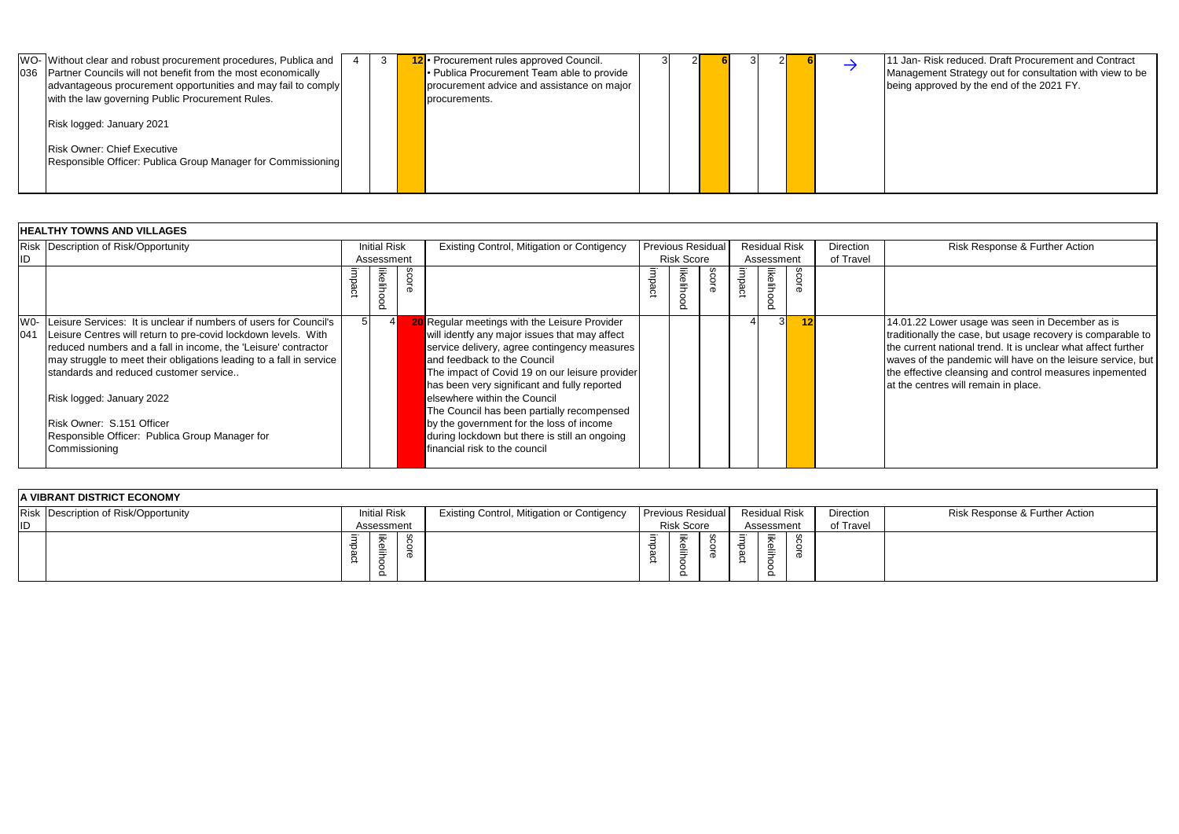| Partner Councils will not benefit from the most economically<br>036<br>advantageous procurement opportunities and may fail to comply<br>with the law governing Public Procurement Rules.<br>Risk logged: January 2021<br><b>Risk Owner: Chief Executive</b><br>Responsible Officer: Publica Group Manager for Commissioning |  |  | • Publica Procurement Team able to provide<br>procurement advice and assistance on major<br>procurements. |  |  |  |  |  |  |  |  |
|-----------------------------------------------------------------------------------------------------------------------------------------------------------------------------------------------------------------------------------------------------------------------------------------------------------------------------|--|--|-----------------------------------------------------------------------------------------------------------|--|--|--|--|--|--|--|--|
|-----------------------------------------------------------------------------------------------------------------------------------------------------------------------------------------------------------------------------------------------------------------------------------------------------------------------------|--|--|-----------------------------------------------------------------------------------------------------------|--|--|--|--|--|--|--|--|

3 2 **6** 3 2 **6** 5 11 Jan- Risk reduced. Draft Procurement and Contract Management Strategy out for consultation with view to be being approved by the end of the 2021 FY.

|              | <b>HEALTHY TOWNS AND VILLAGES</b>                                                                                                                                                                                                                                                                                                                                                                                                                    |          |                                |             |                                                                                                                                                                                                                                                                                                                                                                                                                                                                                             |        |                          |       |        |                      |       |           |  |
|--------------|------------------------------------------------------------------------------------------------------------------------------------------------------------------------------------------------------------------------------------------------------------------------------------------------------------------------------------------------------------------------------------------------------------------------------------------------------|----------|--------------------------------|-------------|---------------------------------------------------------------------------------------------------------------------------------------------------------------------------------------------------------------------------------------------------------------------------------------------------------------------------------------------------------------------------------------------------------------------------------------------------------------------------------------------|--------|--------------------------|-------|--------|----------------------|-------|-----------|--|
|              | Risk Description of Risk/Opportunity                                                                                                                                                                                                                                                                                                                                                                                                                 |          | Initial Risk                   |             | <b>Existing Control, Mitigation or Contigency</b>                                                                                                                                                                                                                                                                                                                                                                                                                                           |        | <b>Previous Residual</b> |       |        | <b>Residual Risk</b> |       | Direction |  |
| <b>ID</b>    |                                                                                                                                                                                                                                                                                                                                                                                                                                                      |          | Assessment                     |             |                                                                                                                                                                                                                                                                                                                                                                                                                                                                                             |        | <b>Risk Score</b>        |       |        | Assessment           |       | of Travel |  |
|              |                                                                                                                                                                                                                                                                                                                                                                                                                                                      | $\Omega$ | likelih<br>$\overline{8}$<br>ō | <b>SCOL</b> |                                                                                                                                                                                                                                                                                                                                                                                                                                                                                             | impact | likelih<br>$\circ$<br>Ō  | score | impact | likeliho<br>ō        | score |           |  |
| $W0-$<br>041 | Leisure Services: It is unclear if numbers of users for Council's<br>Leisure Centres will return to pre-covid lockdown levels. With<br>reduced numbers and a fall in income, the 'Leisure' contractor<br>may struggle to meet their obligations leading to a fall in service<br>Istandards and reduced customer service<br>Risk logged: January 2022<br>Risk Owner: S.151 Officer<br>Responsible Officer: Publica Group Manager for<br>Commissioning | 51       | 4                              |             | 20 Regular meetings with the Leisure Provider<br>will identfy any major issues that may affect<br>service delivery, agree contingency measures<br>and feedback to the Council<br>The impact of Covid 19 on our leisure provider<br>has been very significant and fully reported<br>elsewhere within the Council<br>The Council has been partially recompensed<br>by the government for the loss of income<br>during lockdown but there is still an ongoing<br>financial risk to the council |        |                          |       |        | 31                   | 12    |           |  |

4 3 **12** 14.01.22 Lower usage was seen in December as is traditionally the case, but usage recovery is comparable to the current national trend. It is unclear what affect further waves of the pandemic will have on the leisure service, but the effective cleansing and control measures inpemented at the centres will remain in place.

## Risk Response & Further Action

|           | A VIBRANT DISTRICT ECONOMY           |            |              |          |                                                   |         |                                    |                          |        |                               |           |  |
|-----------|--------------------------------------|------------|--------------|----------|---------------------------------------------------|---------|------------------------------------|--------------------------|--------|-------------------------------|-----------|--|
|           | Risk Description of Risk/Opportunity |            | Initial Risk |          | <b>Existing Control, Mitigation or Contigency</b> |         |                                    | <b>Previous Residual</b> |        | <b>Residual Risk</b>          | Direction |  |
| <b>ID</b> |                                      | Assessment |              |          |                                                   |         | <b>Risk Score</b>                  |                          |        | Assessment                    | of Travel |  |
|           |                                      | ᅐ<br>R     | Ξ            | $\sigma$ |                                                   | ರ<br>္ဘ | $\overline{\phantom{a}}$<br>-<br>◡ | መ                        | ω<br>∸ | ≡<br><u>ଚି</u><br>j<br>_<br>∸ |           |  |

Risk Response & Further Action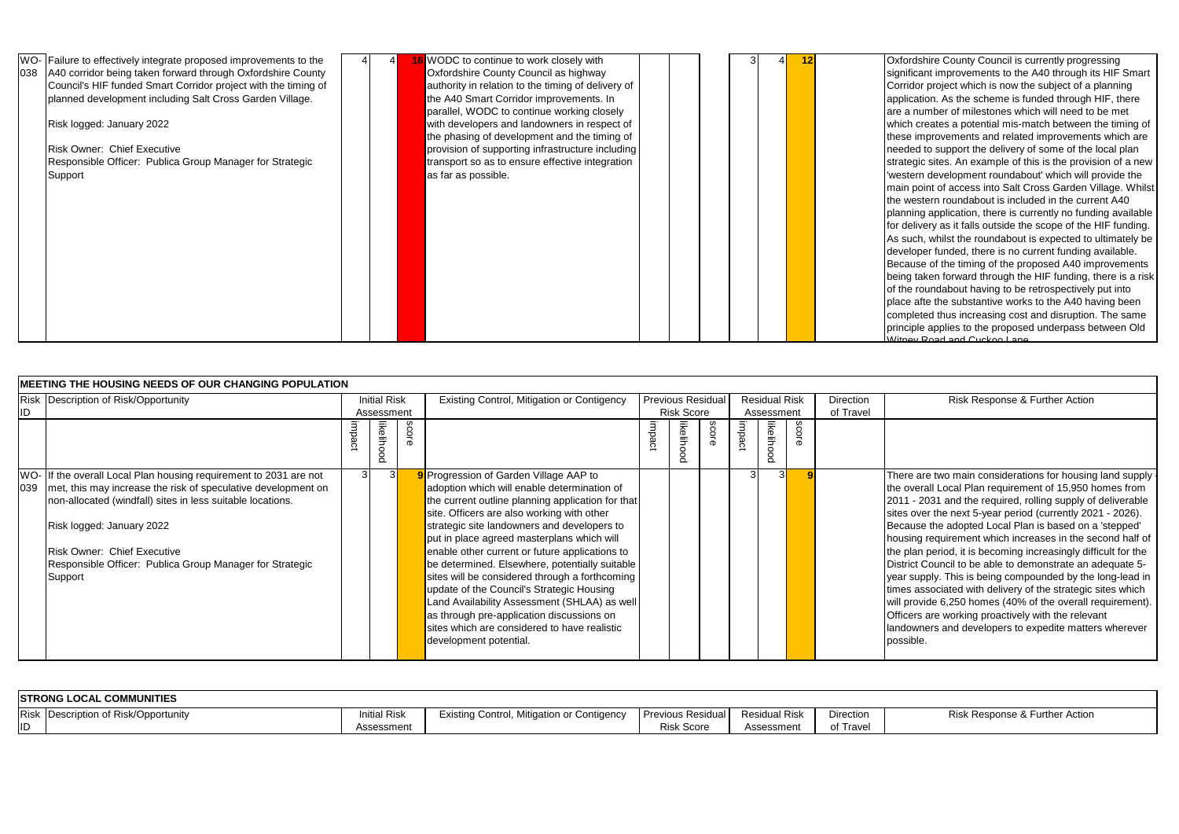| 038 | WO- Failure to effectively integrate proposed improvements to the<br>A40 corridor being taken forward through Oxfordshire County<br>Council's HIF funded Smart Corridor project with the timing of<br>planned development including Salt Cross Garden Village.<br>Risk logged: January 2022<br>Risk Owner: Chief Executive<br>Responsible Officer: Publica Group Manager for Strategic<br>Support |  | 16 WODC to continue to work closely with<br>Oxfordshire County Council as highway<br>authority in relation to the timing of delivery of<br>the A40 Smart Corridor improvements. In<br>parallel, WODC to continue working closely<br>with developers and landowners in respect of<br>the phasing of development and the timing of<br>provision of supporting infrastructure including<br>transport so as to ensure effective integration<br>as far as possible. |  |  | 12 |  |
|-----|---------------------------------------------------------------------------------------------------------------------------------------------------------------------------------------------------------------------------------------------------------------------------------------------------------------------------------------------------------------------------------------------------|--|----------------------------------------------------------------------------------------------------------------------------------------------------------------------------------------------------------------------------------------------------------------------------------------------------------------------------------------------------------------------------------------------------------------------------------------------------------------|--|--|----|--|
|     |                                                                                                                                                                                                                                                                                                                                                                                                   |  |                                                                                                                                                                                                                                                                                                                                                                                                                                                                |  |  |    |  |
|     |                                                                                                                                                                                                                                                                                                                                                                                                   |  |                                                                                                                                                                                                                                                                                                                                                                                                                                                                |  |  |    |  |
|     |                                                                                                                                                                                                                                                                                                                                                                                                   |  |                                                                                                                                                                                                                                                                                                                                                                                                                                                                |  |  |    |  |
|     |                                                                                                                                                                                                                                                                                                                                                                                                   |  |                                                                                                                                                                                                                                                                                                                                                                                                                                                                |  |  |    |  |
|     |                                                                                                                                                                                                                                                                                                                                                                                                   |  |                                                                                                                                                                                                                                                                                                                                                                                                                                                                |  |  |    |  |
|     |                                                                                                                                                                                                                                                                                                                                                                                                   |  |                                                                                                                                                                                                                                                                                                                                                                                                                                                                |  |  |    |  |

**Oxfordshire County Council is currently progressing** significant improvements to the A40 through its HIF Smart Corridor project which is now the subject of a planning application. As the scheme is funded through HIF, there are a number of milestones which will need to be met which creates a potential mis-match between the timing of these improvements and related improvements which are needed to support the delivery of some of the local plan strategic sites. An example of this is the provision of a new 'western development roundabout' which will provide the main point of access into Salt Cross Garden Village. Whilst the western roundabout is included in the current A40 planning application, there is currently no funding available for delivery as it falls outside the scope of the HIF funding. As such, whilst the roundabout is expected to ultimately be developer funded, there is no current funding available. Because of the timing of the proposed A40 improvements being taken forward through the HIF funding, there is a risk of the roundabout having to be retrospectively put into place afte the substantive works to the A40 having been completed thus increasing cost and disruption. The same principle applies to the proposed underpass between Old Witney Road and Cuckoo Lane.

There are two main considerations for housing land supply he overall Local Plan requirement of 15,950 homes from 2011 - 2031 and the required, rolling supply of deliverable ites over the next 5-year period (currently 2021 - 2026). Because the adopted Local Plan is based on a 'stepped' housing requirement which increases in the second half of he plan period, it is becoming increasingly difficult for the District Council to be able to demonstrate an adequate 5 ear supply. This is being compounded by the long-lead in imes associated with delivery of the strategic sites which will provide 6,250 homes (40% of the overall requirement). Officers are working proactively with the relevant andowners and developers to expedite matters wherever possible.

### Risk Response & Further Action

|           | MEETING THE HOUSING NEEDS OF OUR CHANGING POPULATION                                                                                                                                                                                                                                                                                       |        |                            |              |                                                                                                                                                                                                                                                                                                                                                                                                                                                                                                                                                                                                                                                                 |        |                         |                          |        |                                    |       |                               |  |
|-----------|--------------------------------------------------------------------------------------------------------------------------------------------------------------------------------------------------------------------------------------------------------------------------------------------------------------------------------------------|--------|----------------------------|--------------|-----------------------------------------------------------------------------------------------------------------------------------------------------------------------------------------------------------------------------------------------------------------------------------------------------------------------------------------------------------------------------------------------------------------------------------------------------------------------------------------------------------------------------------------------------------------------------------------------------------------------------------------------------------------|--------|-------------------------|--------------------------|--------|------------------------------------|-------|-------------------------------|--|
| <b>ID</b> | Risk Description of Risk/Opportunity                                                                                                                                                                                                                                                                                                       |        | Initial Risk<br>Assessment |              | Existing Control, Mitigation or Contigency                                                                                                                                                                                                                                                                                                                                                                                                                                                                                                                                                                                                                      |        | <b>Risk Score</b>       | <b>Previous Residual</b> |        | <b>Residual Risk</b><br>Assessment |       | <b>Direction</b><br>of Travel |  |
|           |                                                                                                                                                                                                                                                                                                                                            | impact | likeliho<br>8              | <b>SCOTE</b> |                                                                                                                                                                                                                                                                                                                                                                                                                                                                                                                                                                                                                                                                 | impact | likelih<br>$\circ$<br>8 | score                    | impact | likeliho<br>S                      | SCOLG |                               |  |
| 039       | WO- If the overall Local Plan housing requirement to 2031 are not<br>met, this may increase the risk of speculative development on<br>non-allocated (windfall) sites in less suitable locations.<br>Risk logged: January 2022<br><b>Risk Owner: Chief Executive</b><br>Responsible Officer: Publica Group Manager for Strategic<br>Support | 3      | 3I                         |              | 9 Progression of Garden Village AAP to<br>adoption which will enable determination of<br>the current outline planning application for that<br>site. Officers are also working with other<br>strategic site landowners and developers to<br>put in place agreed masterplans which will<br>enable other current or future applications to<br>be determined. Elsewhere, potentially suitable<br>sites will be considered through a forthcoming<br>update of the Council's Strategic Housing<br>Land Availability Assessment (SHLAA) as well<br>as through pre-application discussions on<br>sites which are considered to have realistic<br>development potential. |        |                         |                          |        |                                    |       |                               |  |

|            | <b>STRONG LOCAL COMMUNITIES</b> |                     |                                                   |                          |                      |                  |  |  |  |  |  |  |  |  |  |
|------------|---------------------------------|---------------------|---------------------------------------------------|--------------------------|----------------------|------------------|--|--|--|--|--|--|--|--|--|
| Risk       | Description of Risk/Opportunity | <b>Initial Risk</b> | <b>Existing Control, Mitigation or Contigency</b> | <b>Previous Residual</b> | <b>Residual Risk</b> | <b>Direction</b> |  |  |  |  |  |  |  |  |  |
| <b>IID</b> |                                 | Assessment          |                                                   | <b>Risk Score</b>        | Assessment           | 'Travel<br>οt    |  |  |  |  |  |  |  |  |  |

## Risk Response & Further Action